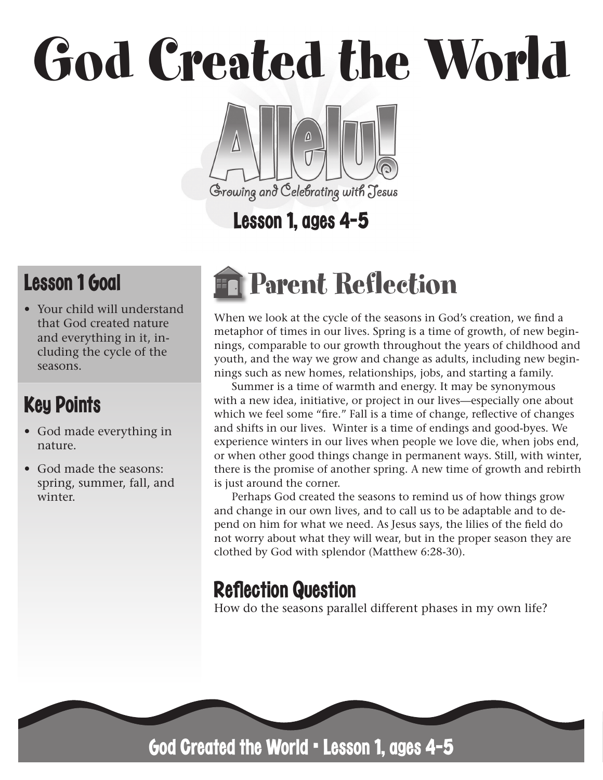## God Created the World

# Growing and Celebrating with Jesus

## Lesson 1, ages 4-5

## Lesson 1 Goal

• Your child will understand that God created nature and everything in it, including the cycle of the seasons.

## Key Points

- God made everything in nature.
- God made the seasons: spring, summer, fall, and winter.

## Parent Reflection

When we look at the cycle of the seasons in God's creation, we find a metaphor of times in our lives. Spring is a time of growth, of new beginnings, comparable to our growth throughout the years of childhood and youth, and the way we grow and change as adults, including new beginnings such as new homes, relationships, jobs, and starting a family.

Summer is a time of warmth and energy. It may be synonymous with a new idea, initiative, or project in our lives—especially one about which we feel some "fire." Fall is a time of change, reflective of changes and shifts in our lives. Winter is a time of endings and good-byes. We experience winters in our lives when people we love die, when jobs end, or when other good things change in permanent ways. Still, with winter, there is the promise of another spring. A new time of growth and rebirth is just around the corner.

Perhaps God created the seasons to remind us of how things grow and change in our own lives, and to call us to be adaptable and to depend on him for what we need. As Jesus says, the lilies of the field do not worry about what they will wear, but in the proper season they are clothed by God with splendor (Matthew 6:28-30).

## **Reflection Question**

How do the seasons parallel different phases in my own life?



God Created the World • Lesson 1, ages 4-5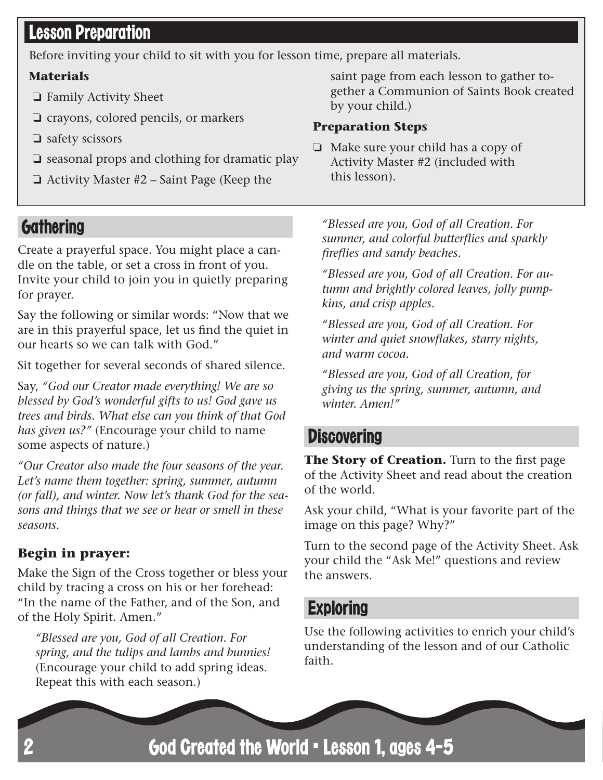#### Lesson Preparation

Before inviting your child to sit with you for lesson time, prepare all materials.

#### **Materials**

- ❏ Family Activity Sheet
- ❏ crayons, colored pencils, or markers
- ❏ safety scissors
- ❏ seasonal props and clothing for dramatic play
- ❏ Activity Master #2 Saint Page (Keep the

saint page from each lesson to gather together a Communion of Saints Book created by your child.)

#### **Preparation Steps**

❏ Make sure your child has a copy of Activity Master #2 (included with this lesson).

#### **Gathering**

Create a prayerful space. You might place a candle on the table, or set a cross in front of you. Invite your child to join you in quietly preparing for prayer.

Say the following or similar words: "Now that we are in this prayerful space, let us find the quiet in our hearts so we can talk with God."

Sit together for several seconds of shared silence.

Say, *"God our Creator made everything! We are so blessed by God's wonderful gifts to us! God gave us trees and birds. What else can you think of that God has given us?"* (Encourage your child to name some aspects of nature.)

*"Our Creator also made the four seasons of the year. Let's name them together: spring, summer, autumn (or fall), and winter. Now let's thank God for the seasons and things that we see or hear or smell in these seasons.* 

#### **Begin in prayer:**

Make the Sign of the Cross together or bless your child by tracing a cross on his or her forehead: "In the name of the Father, and of the Son, and of the Holy Spirit. Amen."

*"Blessed are you, God of all Creation. For spring, and the tulips and lambs and bunnies!*  (Encourage your child to add spring ideas. Repeat this with each season.)

*"Blessed are you, God of all Creation. For summer, and colorful butterflies and sparkly fireflies and sandy beaches.*

*"Blessed are you, God of all Creation. For autumn and brightly colored leaves, jolly pumpkins, and crisp apples.*

*"Blessed are you, God of all Creation. For winter and quiet snowflakes, starry nights, and warm cocoa.*

*"Blessed are you, God of all Creation, for giving us the spring, summer, autumn, and winter. Amen!"*

#### **Discovering**

**The Story of Creation.** Turn to the first page of the Activity Sheet and read about the creation of the world.

Ask your child, "What is your favorite part of the image on this page? Why?"

Turn to the second page of the Activity Sheet. Ask your child the "Ask Me!" questions and review the answers.

#### **Exploring**

Use the following activities to enrich your child's understanding of the lesson and of our Catholic faith.

God Created the World • Lesson 1, ages 4-5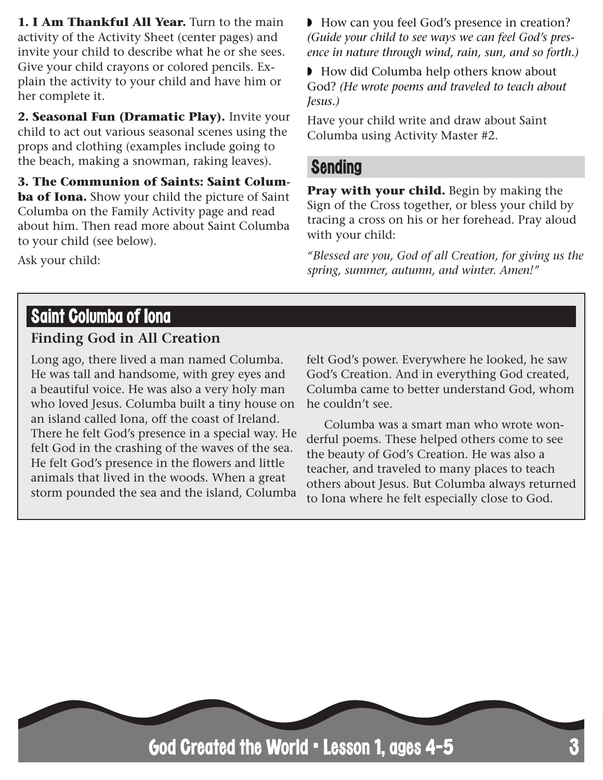**1. I Am Thankful All Year.** Turn to the main activity of the Activity Sheet (center pages) and invite your child to describe what he or she sees. Give your child crayons or colored pencils. Explain the activity to your child and have him or her complete it.

**2. Seasonal Fun (Dramatic Play).** Invite your child to act out various seasonal scenes using the props and clothing (examples include going to the beach, making a snowman, raking leaves).

**3. The Communion of Saints: Saint Columba of Iona.** Show your child the picture of Saint Columba on the Family Activity page and read about him. Then read more about Saint Columba to your child (see below).

◗ How can you feel God's presence in creation? *(Guide your child to see ways we can feel God's presence in nature through wind, rain, sun, and so forth.)*

◗ How did Columba help others know about God? *(He wrote poems and traveled to teach about Jesus.)*

Have your child write and draw about Saint Columba using Activity Master #2.

#### Sending

**Pray with your child.** Begin by making the Sign of the Cross together, or bless your child by tracing a cross on his or her forehead. Pray aloud with your child:

*"Blessed are you, God of all Creation, for giving us the spring, summer, autumn, and winter. Amen!"*

#### Saint Columba of Iona

Ask your child:

#### **Finding God in All Creation**

Long ago, there lived a man named Columba. He was tall and handsome, with grey eyes and a beautiful voice. He was also a very holy man who loved Jesus. Columba built a tiny house on an island called Iona, off the coast of Ireland. There he felt God's presence in a special way. He felt God in the crashing of the waves of the sea. He felt God's presence in the flowers and little animals that lived in the woods. When a great storm pounded the sea and the island, Columba felt God's power. Everywhere he looked, he saw God's Creation. And in everything God created, Columba came to better understand God, whom he couldn't see.

Columba was a smart man who wrote wonderful poems. These helped others come to see the beauty of God's Creation. He was also a teacher, and traveled to many places to teach others about Jesus. But Columba always returned to Iona where he felt especially close to God.

God Created the World • Lesson 1, ages 4-5